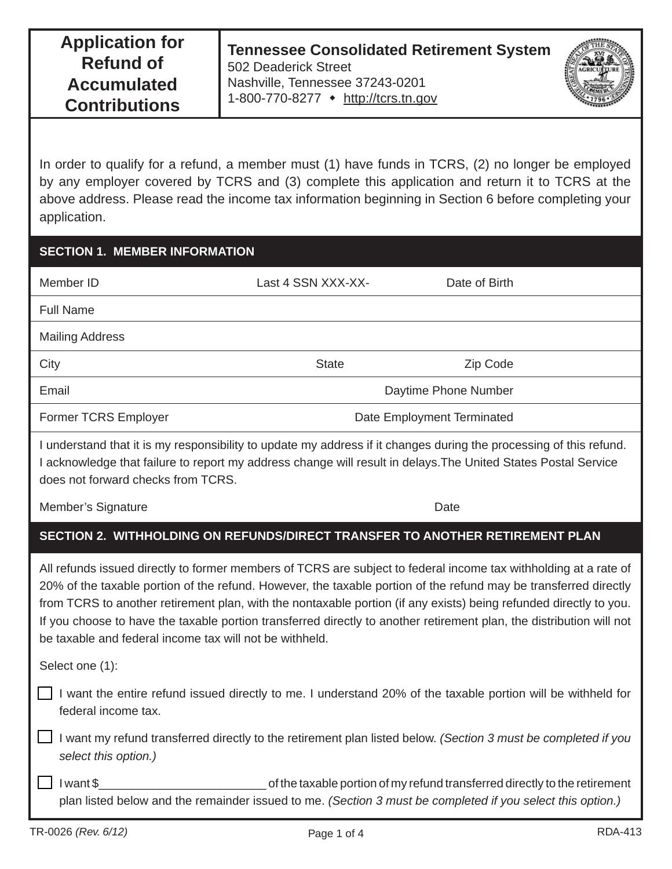In order to qualify for a refund, a member must (1) have funds in TCRS, (2) no longer be employed by any employer covered by TCRS and (3) complete this application and return it to TCRS at the above address. Please read the income tax information beginning in Section 6 before completing your application.

# **SECTION 1. MEMBER INFORMATION**

| Member ID              | Last 4 SSN XXX-XX-         | Date of Birth |
|------------------------|----------------------------|---------------|
| <b>Full Name</b>       |                            |               |
| <b>Mailing Address</b> |                            |               |
| City                   | <b>State</b>               | Zip Code      |
| Email                  | Daytime Phone Number       |               |
| Former TCRS Employer   | Date Employment Terminated |               |

I understand that it is my responsibility to update my address if it changes during the processing of this refund. I acknowledge that failure to report my address change will result in delays.The United States Postal Service does not forward checks from TCRS.

Member's Signature Date Date Contract and the Date Date Date

# **SECTION 2. WITHHOLDING ON REFUNDS/DIRECT TRANSFER TO ANOTHER RETIREMENT PLAN**

All refunds issued directly to former members of TCRS are subject to federal income tax withholding at a rate of 20% of the taxable portion of the refund. However, the taxable portion of the refund may be transferred directly from TCRS to another retirement plan, with the nontaxable portion (if any exists) being refunded directly to you. If you choose to have the taxable portion transferred directly to another retirement plan, the distribution will not be taxable and federal income tax will not be withheld.

Select one (1):

I want the entire refund issued directly to me. I understand 20% of the taxable portion will be withheld for federal income tax.

 I want my refund transferred directly to the retirement plan listed below. *(Section 3 must be completed if you select this option.)*

 I want \$\_\_\_\_\_\_\_\_\_\_\_\_\_\_\_\_\_\_\_\_\_\_\_\_\_ of the taxable portion of my refund transferred directly to the retirement plan listed below and the remainder issued to me. *(Section 3 must be completed if you select this option.)*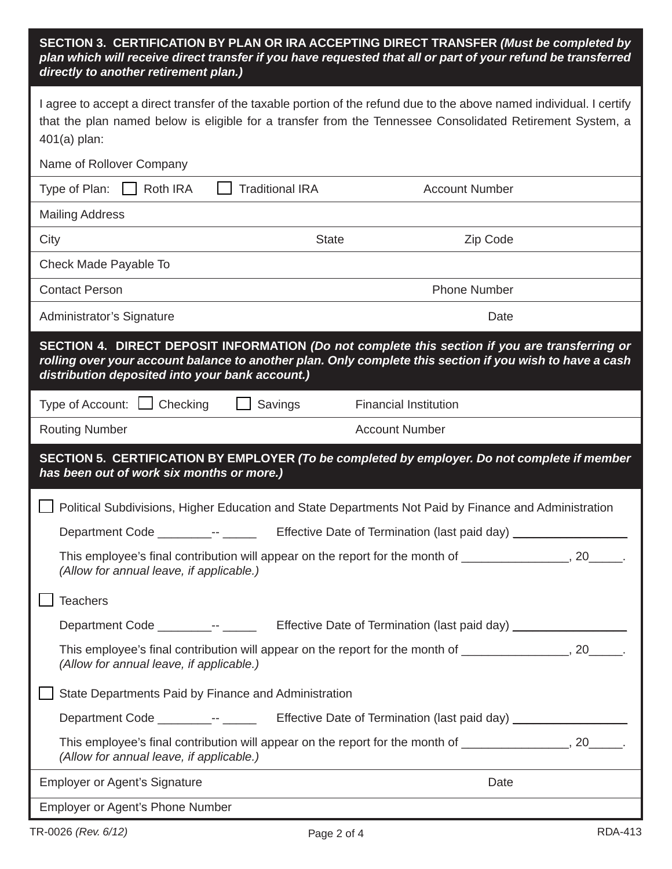### **SECTION 3. CERTIFICATION BY PLAN OR IRA ACCEPTING DIRECT TRANSFER** *(Must be completed by plan which will receive direct transfer if you have requested that all or part of your refund be transferred directly to another retirement plan.)*

| I agree to accept a direct transfer of the taxable portion of the refund due to the above named individual. I certify<br>that the plan named below is eligible for a transfer from the Tennessee Consolidated Retirement System, a<br>$401(a)$ plan:          |                                                                                  |  |  |
|---------------------------------------------------------------------------------------------------------------------------------------------------------------------------------------------------------------------------------------------------------------|----------------------------------------------------------------------------------|--|--|
| Name of Rollover Company                                                                                                                                                                                                                                      |                                                                                  |  |  |
| <b>Traditional IRA</b><br>Type of Plan:<br>Roth IRA                                                                                                                                                                                                           | <b>Account Number</b>                                                            |  |  |
| <b>Mailing Address</b>                                                                                                                                                                                                                                        |                                                                                  |  |  |
| City<br><b>State</b>                                                                                                                                                                                                                                          | Zip Code                                                                         |  |  |
| Check Made Payable To                                                                                                                                                                                                                                         |                                                                                  |  |  |
| <b>Contact Person</b>                                                                                                                                                                                                                                         | <b>Phone Number</b>                                                              |  |  |
| Administrator's Signature                                                                                                                                                                                                                                     | Date                                                                             |  |  |
| SECTION 4. DIRECT DEPOSIT INFORMATION (Do not complete this section if you are transferring or<br>rolling over your account balance to another plan. Only complete this section if you wish to have a cash<br>distribution deposited into your bank account.) |                                                                                  |  |  |
| Type of Account: $\Box$ Checking<br>$\Box$ Savings                                                                                                                                                                                                            | <b>Financial Institution</b>                                                     |  |  |
| <b>Routing Number</b>                                                                                                                                                                                                                                         | <b>Account Number</b>                                                            |  |  |
| SECTION 5. CERTIFICATION BY EMPLOYER (To be completed by employer. Do not complete if member<br>has been out of work six months or more.)                                                                                                                     |                                                                                  |  |  |
| Political Subdivisions, Higher Education and State Departments Not Paid by Finance and Administration                                                                                                                                                         |                                                                                  |  |  |
| Department Code __________-- ____                                                                                                                                                                                                                             | Effective Date of Termination (last paid day) __________________________________ |  |  |
| This employee's final contribution will appear on the report for the month of _______________, 20_____.<br>(Allow for annual leave, if applicable.)                                                                                                           |                                                                                  |  |  |
| <b>Teachers</b>                                                                                                                                                                                                                                               |                                                                                  |  |  |
| Department Code _________________                                                                                                                                                                                                                             | Effective Date of Termination (last paid day) __________________________________ |  |  |
| This employee's final contribution will appear on the report for the month of _______________, 20_____.<br>(Allow for annual leave, if applicable.)                                                                                                           |                                                                                  |  |  |
| State Departments Paid by Finance and Administration                                                                                                                                                                                                          |                                                                                  |  |  |
| Department Code _________-- _________ Effective Date of Termination (last paid day) _______________                                                                                                                                                           |                                                                                  |  |  |
| This employee's final contribution will appear on the report for the month of ________________, 20______.<br>(Allow for annual leave, if applicable.)                                                                                                         |                                                                                  |  |  |
| <b>Employer or Agent's Signature</b>                                                                                                                                                                                                                          | Date                                                                             |  |  |
| Employer or Agent's Phone Number                                                                                                                                                                                                                              |                                                                                  |  |  |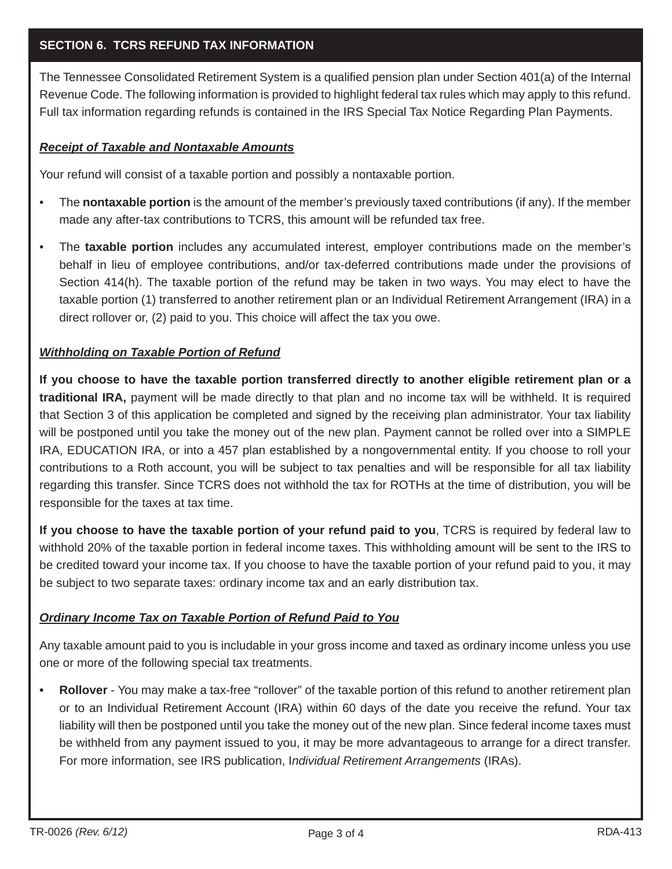## **SECTION 6. TCRS REFUND TAX INFORMATION**

The Tennessee Consolidated Retirement System is a qualified pension plan under Section 401(a) of the Internal Revenue Code. The following information is provided to highlight federal tax rules which may apply to this refund. Full tax information regarding refunds is contained in the IRS Special Tax Notice Regarding Plan Payments.

### *Receipt of Taxable and Nontaxable Amounts*

Your refund will consist of a taxable portion and possibly a nontaxable portion.

- The **nontaxable portion** is the amount of the member's previously taxed contributions (if any). If the member made any after-tax contributions to TCRS, this amount will be refunded tax free.
- The **taxable portion** includes any accumulated interest, employer contributions made on the member's behalf in lieu of employee contributions, and/or tax-deferred contributions made under the provisions of Section 414(h). The taxable portion of the refund may be taken in two ways. You may elect to have the taxable portion (1) transferred to another retirement plan or an Individual Retirement Arrangement (IRA) in a direct rollover or, (2) paid to you. This choice will affect the tax you owe.

#### *Withholding on Taxable Portion of Refund*

**If you choose to have the taxable portion transferred directly to another eligible retirement plan or a traditional IRA,** payment will be made directly to that plan and no income tax will be withheld. It is required that Section 3 of this application be completed and signed by the receiving plan administrator. Your tax liability will be postponed until you take the money out of the new plan. Payment cannot be rolled over into a SIMPLE IRA, EDUCATION IRA, or into a 457 plan established by a nongovernmental entity. If you choose to roll your contributions to a Roth account, you will be subject to tax penalties and will be responsible for all tax liability regarding this transfer. Since TCRS does not withhold the tax for ROTHs at the time of distribution, you will be responsible for the taxes at tax time.

**If you choose to have the taxable portion of your refund paid to you**, TCRS is required by federal law to withhold 20% of the taxable portion in federal income taxes. This withholding amount will be sent to the IRS to be credited toward your income tax. If you choose to have the taxable portion of your refund paid to you, it may be subject to two separate taxes: ordinary income tax and an early distribution tax.

#### *Ordinary Income Tax on Taxable Portion of Refund Paid to You*

Any taxable amount paid to you is includable in your gross income and taxed as ordinary income unless you use one or more of the following special tax treatments.

**• Rollover** - You may make a tax-free "rollover" of the taxable portion of this refund to another retirement plan or to an Individual Retirement Account (IRA) within 60 days of the date you receive the refund. Your tax liability will then be postponed until you take the money out of the new plan. Since federal income taxes must be withheld from any payment issued to you, it may be more advantageous to arrange for a direct transfer. For more information, see IRS publication, I*ndividual Retirement Arrangements* (IRAs).